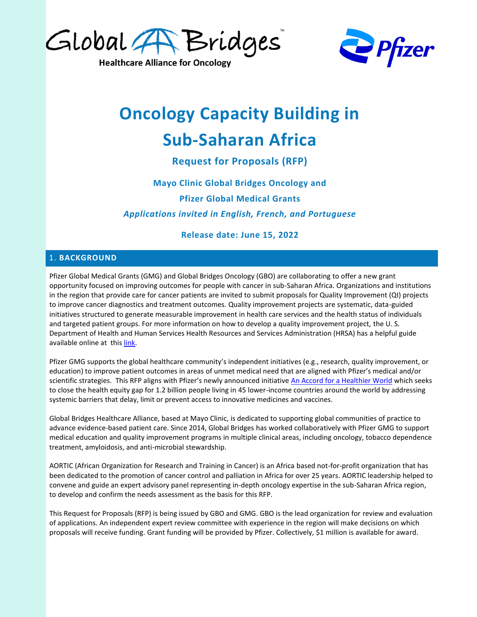

**Healthcare Alliance for Oncology** 



# **Oncology Capacity Building in Sub-Saharan Africa**

**Request for Proposals (RFP)**

**Mayo Clinic Global Bridges Oncology and Pfizer Global Medical Grants** *Applications invited in English, French, and Portuguese*

**Release date: June 15, 2022**

#### 1. **BACKGROUND**

Pfizer Global Medical Grants (GMG) and Global Bridges Oncology (GBO) are collaborating to offer a new grant opportunity focused on improving outcomes for people with cancer in sub-Saharan Africa. Organizations and institutions in the region that provide care for cancer patients are invited to submit proposals for Quality Improvement (QI) projects to improve cancer diagnostics and treatment outcomes. Quality improvement projects are systematic, data-guided initiatives structured to generate measurable improvement in health care services and the health status of individuals and targeted patient groups. For more information on how to develop a quality improvement project, the U. S. Department of Health and Human Services Health Resources and Services Administration (HRSA) has a helpful guide available online at this [link.](https://www.hrsa.gov/sites/default/files/quality/toolbox/508pdfs/qualityimprovement.pdf)

Pfizer GMG supports the global healthcare community's independent initiatives (e.g., research, quality improvement, or education) to improve patient outcomes in areas of unmet medical need that are aligned with Pfizer's medical and/or scientific strategies. This RFP aligns with Pfizer's newly announced initiative [An Accord for a Healthier World](https://www.pfizer.com/about/responsibility/global-impact/accord) which seeks to close the health equity gap for 1.2 billion people living in 45 lower-income countries around the world by addressing systemic barriers that delay, limit or prevent access to innovative medicines and vaccines.

Global Bridges Healthcare Alliance, based at Mayo Clinic, is dedicated to supporting global communities of practice to advance evidence-based patient care. Since 2014, Global Bridges has worked collaboratively with Pfizer GMG to support medical education and quality improvement programs in multiple clinical areas, including oncology, tobacco dependence treatment, amyloidosis, and anti-microbial stewardship.

AORTIC (African Organization for Research and Training in Cancer) is an Africa based not-for-profit organization that has been dedicated to the promotion of cancer control and palliation in Africa for over 25 years. AORTIC leadership helped to convene and guide an expert advisory panel representing in-depth oncology expertise in the sub-Saharan Africa region, to develop and confirm the needs assessment as the basis for this RFP.

This Request for Proposals (RFP) is being issued by GBO and GMG. GBO is the lead organization for review and evaluation of applications. An independent expert review committee with experience in the region will make decisions on which proposals will receive funding. Grant funding will be provided by Pfizer. Collectively, \$1 million is available for award.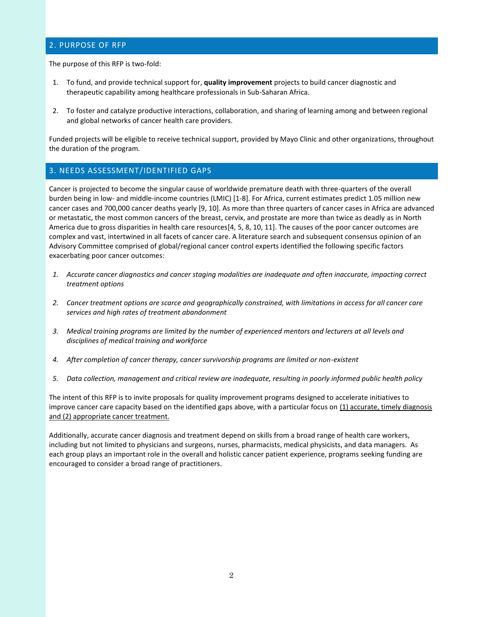#### 2. PURPOSE OF RFP

The purpose of this RFP is two-fold:

- 1. To fund, and provide technical support for, **quality improvement** projects to build cancer diagnostic and therapeutic capability among healthcare professionals in Sub-Saharan Africa.
- 2. To foster and catalyze productive interactions, collaboration, and sharing of learning among and between regional and global networks of cancer health care providers.

Funded projects will be eligible to receive technical support, provided by Mayo Clinic and other organizations, throughout the duration of the program.

#### 3. NEEDS ASSESSMENT/IDENTIFIED GAPS

Cancer is projected to become the singular cause of worldwide premature death with three-quarters of the overall burden being in low- and middle-income countries (LMIC) [1-8]. For Africa, current estimates predict 1.05 million new cancer cases and 700,000 cancer deaths yearly [9, 10]. As more than three quarters of cancer cases in Africa are advanced or metastatic, the most common cancers of the breast, cervix, and prostate are more than twice as deadly as in North America due to gross disparities in health care resources[4, 5, 8, 10, 11]. The causes of the poor cancer outcomes are complex and vast, intertwined in all facets of cancer care. A literature search and subsequent consensus opinion of an Advisory Committee comprised of global/regional cancer control experts identified the following specific factors exacerbating poor cancer outcomes:

- *1. Accurate cancer diagnostics and cancer staging modalities are inadequate and often inaccurate, impacting correct treatment options*
- *2. Cancer treatment options are scarce and geographically constrained, with limitations in access for all cancer care services and high rates of treatment abandonment*
- *3. Medical training programs are limited by the number of experienced mentors and lecturers at all levels and disciplines of medical training and workforce*
- *4. After completion of cancer therapy, cancer survivorship programs are limited or non-existent*
- *5. Data collection, management and critical review are inadequate, resulting in poorly informed public health policy*

The intent of this RFP is to invite proposals for quality improvement programs designed to accelerate initiatives to improve cancer care capacity based on the identified gaps above, with a particular focus on (1) accurate, timely diagnosis and (2) appropriate cancer treatment.

Additionally, accurate cancer diagnosis and treatment depend on skills from a broad range of health care workers, including but not limited to physicians and surgeons, nurses, pharmacists, medical physicists, and data managers. As each group plays an important role in the overall and holistic cancer patient experience, programs seeking funding are encouraged to consider a broad range of practitioners.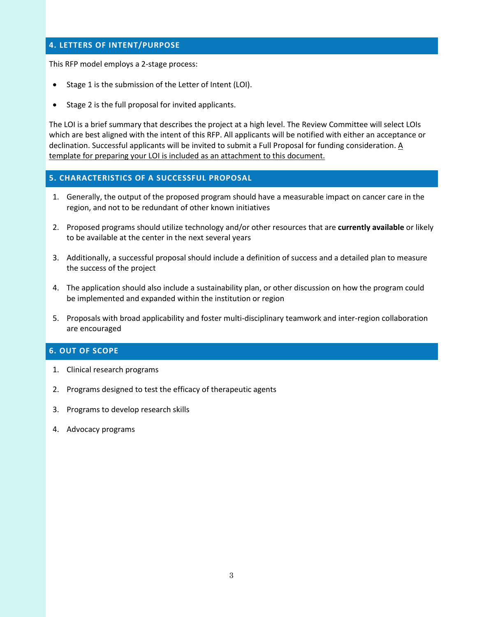#### **4. LETTERS OF INTENT/PURPOSE**

This RFP model employs a 2-stage process:

- Stage 1 is the submission of the Letter of Intent (LOI).
- Stage 2 is the full proposal for invited applicants.

The LOI is a brief summary that describes the project at a high level. The Review Committee will select LOIs which are best aligned with the intent of this RFP. All applicants will be notified with either an acceptance or declination. Successful applicants will be invited to submit a Full Proposal for funding consideration. A template for preparing your LOI is included as an attachment to this document.

#### **5. CHARACTERISTICS OF A SUCCESSFUL PROPOSAL**

- 1. Generally, the output of the proposed program should have a measurable impact on cancer care in the region, and not to be redundant of other known initiatives
- 2. Proposed programs should utilize technology and/or other resources that are **currently available** or likely to be available at the center in the next several years
- 3. Additionally, a successful proposal should include a definition of success and a detailed plan to measure the success of the project
- 4. The application should also include a sustainability plan, or other discussion on how the program could be implemented and expanded within the institution or region
- 5. Proposals with broad applicability and foster multi-disciplinary teamwork and inter-region collaboration are encouraged

#### **6. OUT OF SCOPE**

- 1. Clinical research programs
- 2. Programs designed to test the efficacy of therapeutic agents
- 3. Programs to develop research skills
- 4. Advocacy programs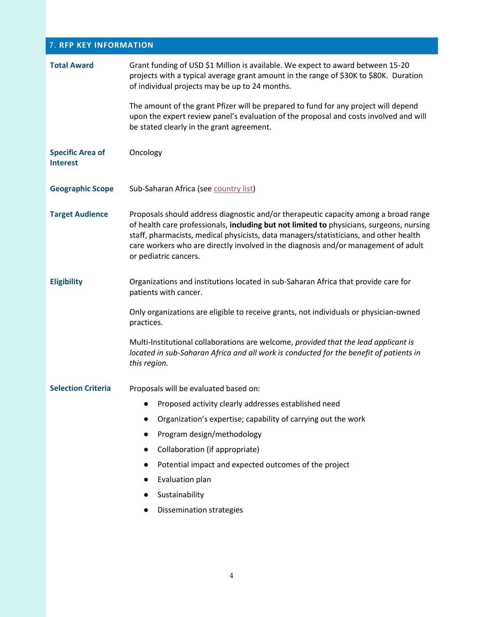## 7. **RFP KEY INFORMATION**

| The amount of the grant Pfizer will be prepared to fund for any project will depend<br>upon the expert review panel's evaluation of the proposal and costs involved and will                                                                                                                                                                                   |
|----------------------------------------------------------------------------------------------------------------------------------------------------------------------------------------------------------------------------------------------------------------------------------------------------------------------------------------------------------------|
|                                                                                                                                                                                                                                                                                                                                                                |
|                                                                                                                                                                                                                                                                                                                                                                |
|                                                                                                                                                                                                                                                                                                                                                                |
| Proposals should address diagnostic and/or therapeutic capacity among a broad range<br>of health care professionals, including but not limited to physicians, surgeons, nursing<br>staff, pharmacists, medical physicists, data managers/statisticians, and other health<br>care workers who are directly involved in the diagnosis and/or management of adult |
| Organizations and institutions located in sub-Saharan Africa that provide care for                                                                                                                                                                                                                                                                             |
| Only organizations are eligible to receive grants, not individuals or physician-owned                                                                                                                                                                                                                                                                          |
| Multi-Institutional collaborations are welcome, provided that the lead applicant is<br>located in sub-Saharan Africa and all work is conducted for the benefit of patients in                                                                                                                                                                                  |
|                                                                                                                                                                                                                                                                                                                                                                |
|                                                                                                                                                                                                                                                                                                                                                                |
|                                                                                                                                                                                                                                                                                                                                                                |
|                                                                                                                                                                                                                                                                                                                                                                |
|                                                                                                                                                                                                                                                                                                                                                                |
|                                                                                                                                                                                                                                                                                                                                                                |
|                                                                                                                                                                                                                                                                                                                                                                |
|                                                                                                                                                                                                                                                                                                                                                                |
|                                                                                                                                                                                                                                                                                                                                                                |
|                                                                                                                                                                                                                                                                                                                                                                |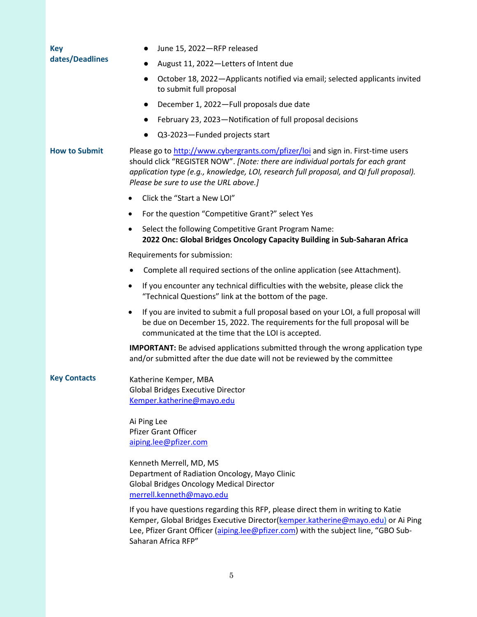| <b>Key</b>           | June 15, 2022-RFP released                                                                                                                                                                                                                                                                             |
|----------------------|--------------------------------------------------------------------------------------------------------------------------------------------------------------------------------------------------------------------------------------------------------------------------------------------------------|
| dates/Deadlines      | August 11, 2022-Letters of Intent due                                                                                                                                                                                                                                                                  |
|                      | October 18, 2022 - Applicants notified via email; selected applicants invited<br>$\bullet$<br>to submit full proposal                                                                                                                                                                                  |
|                      | December 1, 2022-Full proposals due date<br>$\bullet$                                                                                                                                                                                                                                                  |
|                      | February 23, 2023-Notification of full proposal decisions<br>$\bullet$                                                                                                                                                                                                                                 |
|                      | Q3-2023-Funded projects start                                                                                                                                                                                                                                                                          |
| <b>How to Submit</b> | Please go to http://www.cybergrants.com/pfizer/loi and sign in. First-time users<br>should click "REGISTER NOW". [Note: there are individual portals for each grant<br>application type (e.g., knowledge, LOI, research full proposal, and QI full proposal).<br>Please be sure to use the URL above.] |
|                      | Click the "Start a New LOI"                                                                                                                                                                                                                                                                            |
|                      | For the question "Competitive Grant?" select Yes<br>٠                                                                                                                                                                                                                                                  |
|                      | Select the following Competitive Grant Program Name:<br>$\bullet$<br>2022 Onc: Global Bridges Oncology Capacity Building in Sub-Saharan Africa                                                                                                                                                         |
|                      | Requirements for submission:                                                                                                                                                                                                                                                                           |
|                      | Complete all required sections of the online application (see Attachment).                                                                                                                                                                                                                             |
|                      | If you encounter any technical difficulties with the website, please click the<br>٠<br>"Technical Questions" link at the bottom of the page.                                                                                                                                                           |
|                      | If you are invited to submit a full proposal based on your LOI, a full proposal will<br>$\bullet$<br>be due on December 15, 2022. The requirements for the full proposal will be<br>communicated at the time that the LOI is accepted.                                                                 |
|                      | <b>IMPORTANT:</b> Be advised applications submitted through the wrong application type<br>and/or submitted after the due date will not be reviewed by the committee                                                                                                                                    |
| <b>Key Contacts</b>  | Katherine Kemper, MBA<br><b>Global Bridges Executive Director</b><br>Kemper.katherine@mayo.edu                                                                                                                                                                                                         |
|                      | Ai Ping Lee<br><b>Pfizer Grant Officer</b><br>aiping.lee@pfizer.com                                                                                                                                                                                                                                    |
|                      | Kenneth Merrell, MD, MS<br>Department of Radiation Oncology, Mayo Clinic<br><b>Global Bridges Oncology Medical Director</b><br>merrell.kenneth@mayo.edu                                                                                                                                                |
|                      | If you have questions regarding this RFP, please direct them in writing to Katie<br>Kemper, Global Bridges Executive Director(kemper.katherine@mayo.edu) or Ai Ping<br>Lee, Pfizer Grant Officer (aiping.lee@pfizer.com) with the subject line, "GBO Sub-<br>Saharan Africa RFP"                       |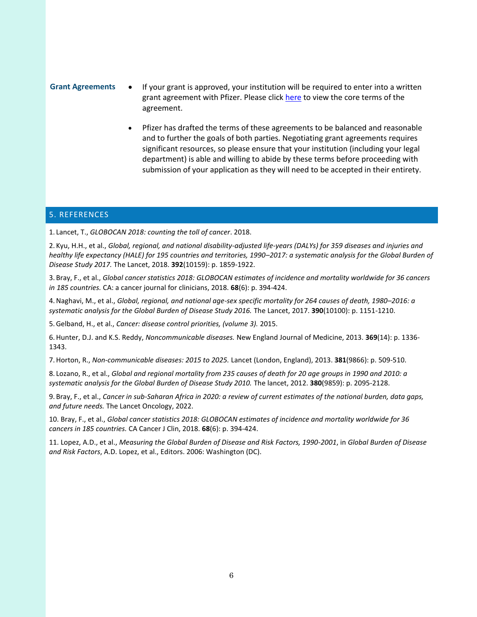#### **Grant Agreements** • If your grant is approved, your institution will be required to enter into a written grant agreement with Pfizer. Please click [here](https://www.cybergrants.com/pfizer/docs/QIGrant_ContractTerms_GMGS.pdf) to view the core terms of the agreement.

• Pfizer has drafted the terms of these agreements to be balanced and reasonable and to further the goals of both parties. Negotiating grant agreements requires significant resources, so please ensure that your institution (including your legal department) is able and willing to abide by these terms before proceeding with submission of your application as they will need to be accepted in their entirety.

#### 5. REFERENCES

1. Lancet, T., *GLOBOCAN 2018: counting the toll of cancer*. 2018.

2. Kyu, H.H., et al., *Global, regional, and national disability-adjusted life-years (DALYs) for 359 diseases and injuries and healthy life expectancy (HALE) for 195 countries and territories, 1990–2017: a systematic analysis for the Global Burden of Disease Study 2017.* The Lancet, 2018. **392**(10159): p. 1859-1922.

3. Bray, F., et al., *Global cancer statistics 2018: GLOBOCAN estimates of incidence and mortality worldwide for 36 cancers in 185 countries.* CA: a cancer journal for clinicians, 2018. **68**(6): p. 394-424.

4.Naghavi, M., et al., *Global, regional, and national age-sex specific mortality for 264 causes of death, 1980–2016: a systematic analysis for the Global Burden of Disease Study 2016.* The Lancet, 2017. **390**(10100): p. 1151-1210.

5.Gelband, H., et al., *Cancer: disease control priorities, (volume 3).* 2015.

6.Hunter, D.J. and K.S. Reddy, *Noncommunicable diseases.* New England Journal of Medicine, 2013. **369**(14): p. 1336- 1343.

7.Horton, R., *Non-communicable diseases: 2015 to 2025.* Lancet (London, England), 2013. **381**(9866): p. 509-510.

8. Lozano, R., et al., *Global and regional mortality from 235 causes of death for 20 age groups in 1990 and 2010: a systematic analysis for the Global Burden of Disease Study 2010.* The lancet, 2012. **380**(9859): p. 2095-2128.

9. Bray, F., et al., *Cancer in sub-Saharan Africa in 2020: a review of current estimates of the national burden, data gaps, and future needs.* The Lancet Oncology, 2022.

10. Bray, F., et al., *Global cancer statistics 2018: GLOBOCAN estimates of incidence and mortality worldwide for 36 cancers in 185 countries.* CA Cancer J Clin, 2018. **68**(6): p. 394-424.

11. Lopez, A.D., et al., *Measuring the Global Burden of Disease and Risk Factors, 1990-2001*, in *Global Burden of Disease and Risk Factors*, A.D. Lopez, et al., Editors. 2006: Washington (DC).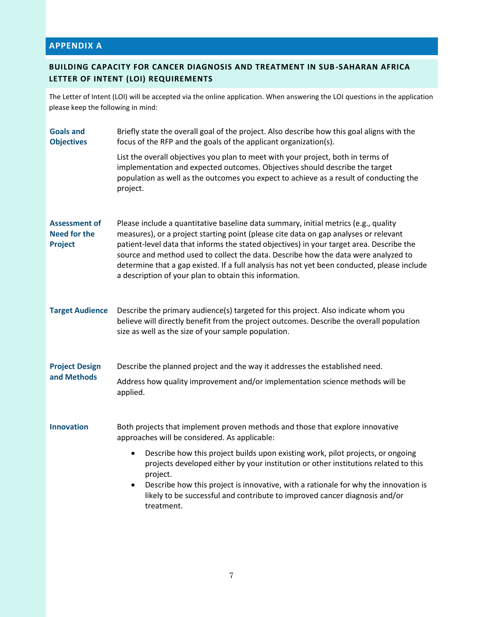## **APPENDIX A**

### **BUILDING CAPACITY FOR CANCER DIAGNOSIS AND TREATMENT IN SUB-SAHARAN AFRICA LETTER OF INTENT (LOI) REQUIREMENTS**

The Letter of Intent (LOI) will be accepted via the online application. When answering the LOI questions in the application please keep the following in mind:

| <b>Goals and</b><br><b>Objectives</b>                         | Briefly state the overall goal of the project. Also describe how this goal aligns with the<br>focus of the RFP and the goals of the applicant organization(s).                                                                                                                                                                                                                                                                                                                                                         |
|---------------------------------------------------------------|------------------------------------------------------------------------------------------------------------------------------------------------------------------------------------------------------------------------------------------------------------------------------------------------------------------------------------------------------------------------------------------------------------------------------------------------------------------------------------------------------------------------|
|                                                               | List the overall objectives you plan to meet with your project, both in terms of<br>implementation and expected outcomes. Objectives should describe the target<br>population as well as the outcomes you expect to achieve as a result of conducting the<br>project.                                                                                                                                                                                                                                                  |
| <b>Assessment of</b><br><b>Need for the</b><br><b>Project</b> | Please include a quantitative baseline data summary, initial metrics (e.g., quality<br>measures), or a project starting point (please cite data on gap analyses or relevant<br>patient-level data that informs the stated objectives) in your target area. Describe the<br>source and method used to collect the data. Describe how the data were analyzed to<br>determine that a gap existed. If a full analysis has not yet been conducted, please include<br>a description of your plan to obtain this information. |
| <b>Target Audience</b>                                        | Describe the primary audience(s) targeted for this project. Also indicate whom you<br>believe will directly benefit from the project outcomes. Describe the overall population<br>size as well as the size of your sample population.                                                                                                                                                                                                                                                                                  |
| <b>Project Design</b><br>and Methods                          | Describe the planned project and the way it addresses the established need.                                                                                                                                                                                                                                                                                                                                                                                                                                            |
|                                                               | Address how quality improvement and/or implementation science methods will be<br>applied.                                                                                                                                                                                                                                                                                                                                                                                                                              |
| <b>Innovation</b>                                             | Both projects that implement proven methods and those that explore innovative<br>approaches will be considered. As applicable:                                                                                                                                                                                                                                                                                                                                                                                         |
|                                                               | Describe how this project builds upon existing work, pilot projects, or ongoing<br>$\bullet$<br>projects developed either by your institution or other institutions related to this<br>project.<br>Describe how this project is innovative, with a rationale for why the innovation is<br>$\bullet$<br>likely to be successful and contribute to improved cancer diagnosis and/or<br>treatment.                                                                                                                        |